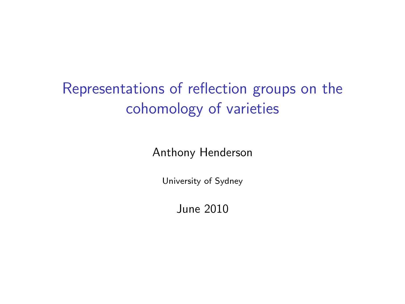# <span id="page-0-0"></span>Representations of reflection groups on the cohomology of varieties

Anthony Henderson

University of Sydney

June 2010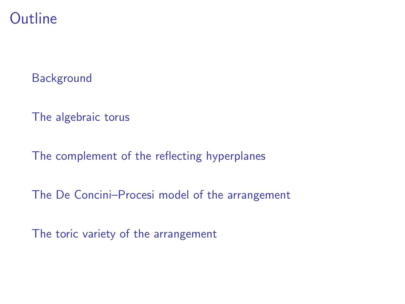### **Outline**

**[Background](#page-2-0)** 

[The algebraic torus](#page-6-0)

[The complement of the reflecting hyperplanes](#page-12-0)

[The De Concini–Procesi model of the arrangement](#page-0-0)

[The toric variety of the arrangement](#page-0-0)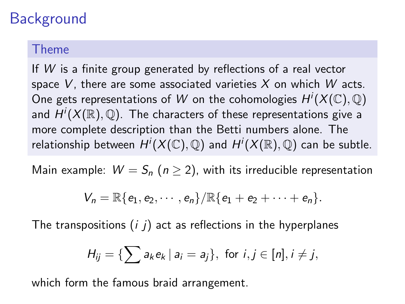# **Background**

#### Theme

If W is a finite group generated by reflections of a real vector space  $V$ , there are some associated varieties  $X$  on which  $W$  acts. One gets representations of  $W$  on the cohomologies  $H^i(X(\mathbb{C}),\mathbb{Q})$ and  $H^i(X(\mathbb{R}),\mathbb{Q}).$  The characters of these representations give a more complete description than the Betti numbers alone. The relationship between  $H^i(X(\mathbb{C}),\mathbb{Q})$  and  $H^i(X(\mathbb{R}),\mathbb{Q})$  can be subtle.

Main example:  $W = S_n$  ( $n \ge 2$ ), with its irreducible representation

$$
V_n=\mathbb{R}\{e_1,e_2,\cdots,e_n\}/\mathbb{R}\{e_1+e_2+\cdots+e_n\}.
$$

The transpositions  $(i, j)$  act as reflections in the hyperplanes

$$
H_{ij} = \{ \sum a_k e_k \mid a_i = a_j \}, \text{ for } i, j \in [n], i \neq j,
$$

<span id="page-2-0"></span>which form the famous braid arrangement.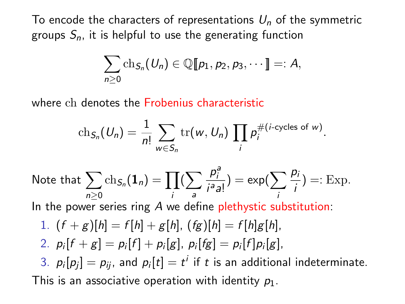To encode the characters of representations  $U_n$  of the symmetric groups  $S_n$ , it is helpful to use the generating function

$$
\sum_{n\geq 0} \text{ch}_{S_n}(U_n) \in \mathbb{Q}[\![p_1, p_2, p_3, \cdots]\!]\!]=: A,
$$

where ch denotes the Frobenius characteristic

$$
\operatorname{ch}_{S_n}(U_n)=\frac{1}{n!}\sum_{w\in S_n}\operatorname{tr}(w,U_n)\prod_i p_i^{\#(i\text{-cycles of }w)}.
$$

Note that 
$$
\sum_{n\geq 0} ch_{S_n}(\mathbf{1}_n) = \prod_i (\sum_{a} \frac{p_i^a}{i^a a!}) = \exp(\sum_i \frac{p_i}{i}) =: \text{Exp.}
$$

In the power series ring  $\overline{A}$  we define plethystic substitution:

1. 
$$
(f+g)[h] = f[h] + g[h]
$$
,  $(fg)[h] = f[h]g[h]$ ,

2. 
$$
p_i[f+g] = p_i[f] + p_i[g], p_i[fg] = p_i[f]p_i[g],
$$

3.  $p_i[p_j] = p_{ij}$ , and  $p_i[t] = t^i$  if  $t$  is an additional indeterminate. This is an associative operation with identity  $p_1$ .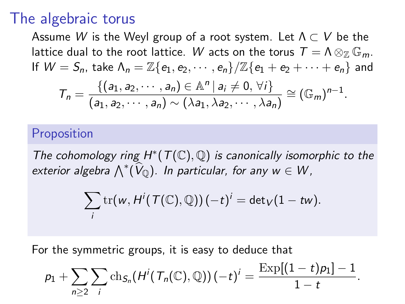### The algebraic torus

Assume W is the Weyl group of a root system. Let  $\Lambda \subset V$  be the lattice dual to the root lattice. W acts on the torus  $T = \Lambda \otimes_{\mathbb{Z}} \mathbb{G}_m$ . If  $W = S_n$ , take  $\Lambda_n = \mathbb{Z}\{e_1, e_2, \cdots, e_n\}/\mathbb{Z}\{e_1 + e_2 + \cdots + e_n\}$  and  $T_n = \frac{\{(a_1, a_2, \cdots, a_n) \in \mathbb{A}^n | a_i \neq 0, \forall i\}}{\{(a_1, a_2, \cdots, a_n) \in \{(a_n, a_n)\}}$  $\frac{\{(d_1, d_2, \cdots, d_n) \in \mathbb{A} \mid d_i \neq 0, \forall i\}}{(a_1, a_2, \cdots, a_n) \sim (\lambda a_1, \lambda a_2, \cdots, \lambda a_n)} \cong (\mathbb{G}_m)^{n-1}.$ 

#### Proposition

The cohomology ring  $H^*(\mathcal{T}(\mathbb{C}),\mathbb{Q})$  is canonically isomorphic to the exterior algebra  $\bigwedge^*(\widehat{V}_{\mathbb{Q}})$ . In particular, for any  $w \in W$ ,

$$
\sum_i \operatorname{tr}(w, H^i(\mathcal{T}(\mathbb{C}), \mathbb{Q})) (-t)^i = \det_V(1 - t w).
$$

For the symmetric groups, it is easy to deduce that

$$
p_1 + \sum_{n\geq 2} \sum_i \text{ch}_{S_n}(H^i(T_n(\mathbb{C}), \mathbb{Q})) (-t)^i = \frac{\text{Exp}[(1-t)p_1] - 1}{1-t}.
$$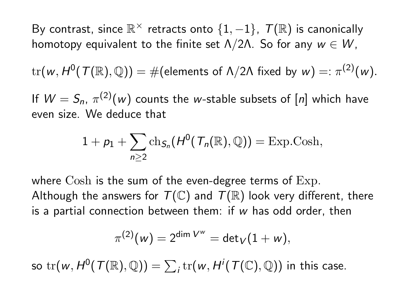By contrast, since  $\mathbb{R}^\times$  retracts onto  $\{1,-1\}$ ,  $\mathcal{T}(\mathbb{R})$  is canonically homotopy equivalent to the finite set  $\Lambda/2\Lambda$ . So for any  $w \in W$ ,

 $\text{tr}(w,H^0(\mathcal{T}(\mathbb{R}),\mathbb{Q}))=\#$ (elements of  $\Lambda/2\Lambda$  fixed by  $w)=:\pi^{(2)}(w).$ 

If  $W = S_n$ ,  $\pi^{(2)}(w)$  counts the w-stable subsets of  $[n]$  which have even size. We deduce that

$$
1 + p_1 + \sum_{n \geq 2} \text{ch}_{S_n}(H^0(\mathcal{T}_n(\mathbb{R}), \mathbb{Q})) = \text{Exp.Cosh},
$$

where Cosh is the sum of the even-degree terms of Exp. Although the answers for  $T(\mathbb{C})$  and  $T(\mathbb{R})$  look very different, there is a partial connection between them: if w has odd order, then

$$
\pi^{(2)}(w)=2^{\dim V^w}=\mathsf{det}_V(1+w),
$$

so  $\mathrm{tr}(w, H^0(\mathcal{T}(\mathbb{R}),\mathbb{Q}))=\sum_i \mathrm{tr}(w, H^i(\mathcal{T}(\mathbb{C}),\mathbb{Q}))$  in this case.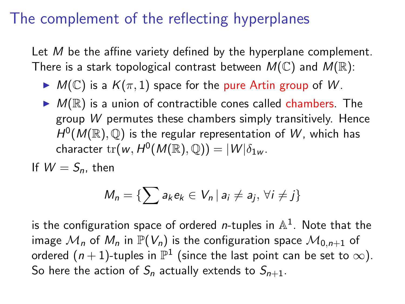## The complement of the reflecting hyperplanes

Let M be the affine variety defined by the hyperplane complement. There is a stark topological contrast between  $M(\mathbb{C})$  and  $M(\mathbb{R})$ :

- $\blacktriangleright M(\mathbb{C})$  is a  $K(\pi, 1)$  space for the pure Artin group of W.
- $\blacktriangleright$   $M(\mathbb{R})$  is a union of contractible cones called chambers. The group W permutes these chambers simply transitively. Hence  $H^0(M(\mathbb{R}),\mathbb{Q})$  is the regular representation of W, which has character  $\mathrm{tr}(w, H^0(M(\mathbb{R}),\mathbb{Q})) = |W|\delta_{1w}.$

If  $W = S_n$ , then

$$
M_n = \{ \sum a_k e_k \in V_n \, | \, a_i \neq a_j, \, \forall i \neq j \}
$$

<span id="page-6-0"></span>is the configuration space of ordered *n*-tuples in  $\mathbb{A}^1.$  Note that the image  $\mathcal{M}_n$  of  $M_n$  in  $\mathbb{P}(V_n)$  is the configuration space  $\mathcal{M}_{0,n+1}$  of ordered  $(n+1)$ -tuples in  $\mathbb{P}^1$  (since the last point can be set to  $\infty).$ So here the action of  $S_n$  actually extends to  $S_{n+1}$ .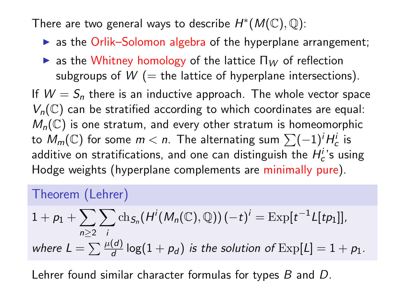There are two general ways to describe  $H^*(M(\mathbb{C}),\mathbb{Q})$ :

- $\triangleright$  as the Orlik–Solomon algebra of the hyperplane arrangement;
- $\triangleright$  as the Whitney homology of the lattice  $\Pi_W$  of reflection subgroups of  $W$  (= the lattice of hyperplane intersections).

If  $W = S_n$  there is an inductive approach. The whole vector space  $V_n(\mathbb{C})$  can be stratified according to which coordinates are equal:  $M_n(\mathbb{C})$  is one stratum, and every other stratum is homeomorphic to  $M_m(\mathbb{C})$  for some  $m < n$ . The alternating sum  $\sum (-1)^i H_c^i$  is additive on stratifications, and one can distinguish the  $H_c^{i}$ 's using Hodge weights (hyperplane complements are minimally pure).

### Theorem (Lehrer)

$$
1 + p_1 + \sum_{n \geq 2} \sum_i \text{ch}_{S_n}(H^i(M_n(\mathbb{C}), \mathbb{Q})) (-t)^i = \text{Exp}[t^{-1}L[tp_1]],
$$
  
where  $L = \sum_i \frac{\mu(d)}{d} \log(1 + p_d)$  is the solution of  $\text{Exp}[L] = 1 + p_1$ .

Lehrer found similar character formulas for types B and D.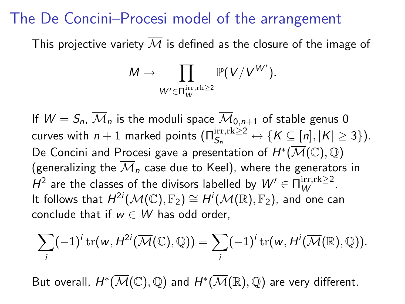### The De Concini–Procesi model of the arrangement

This projective variety  $\overline{M}$  is defined as the closure of the image of

$$
M \to \prod_{W' \in \Pi^{\text{irr},\text{rk}}_{W} \geq 2} \mathbb{P}(V/V^{W'}).
$$

If  $W = S_n$ ,  $\overline{\mathcal{M}}_n$  is the moduli space  $\overline{\mathcal{M}}_{0,n+1}$  of stable genus 0 curves with  $n+1$  marked points  $(\Pi_{S_n}^{\text{irr}, \text{rk}\geq 2} \leftrightarrow \{K\subseteq [n], |K|\geq 3\}).$ De Concini and Procesi gave a presentation of  $H^{*}(\overline{\mathcal{M}}(\mathbb{C}),\mathbb{Q})$ (generalizing the  $\overline{\mathcal M}_n$  case due to Keel), where the generators in  $H^2$  are the classes of the divisors labelled by  $W' \in \Pi_W^{\text{irr}, \text{rk} \geq 2}$ . It follows that  $H^{2i}(\overline{\mathcal M}(\mathbb C),\mathbb F_2) \cong H^i(\overline{\mathcal M}(\mathbb R),\mathbb F_2)$ , and one can conclude that if  $w \in W$  has odd order.

$$
\sum_i (-1)^i \operatorname{tr}(w, H^{2i}(\overline{\mathcal{M}}(\mathbb{C}), \mathbb{Q})) = \sum_i (-1)^i \operatorname{tr}(w, H^i(\overline{\mathcal{M}}(\mathbb{R}), \mathbb{Q})).
$$

But overall,  $H^{*}(\overline{\mathcal{M}}(\mathbb{C}),\mathbb{Q})$  and  $H^{*}(\overline{\mathcal{M}}(\mathbb{R}),\mathbb{Q})$  are very different.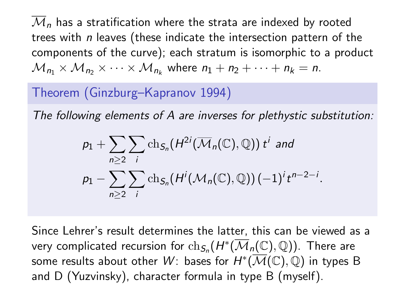$\overline{\mathcal M}$ , has a stratification where the strata are indexed by rooted trees with  $n$  leaves (these indicate the intersection pattern of the components of the curve); each stratum is isomorphic to a product  $\mathcal{M}_{n_1} \times \mathcal{M}_{n_2} \times \cdots \times \mathcal{M}_{n_k}$  where  $n_1 + n_2 + \cdots + n_k = n$ .

### Theorem (Ginzburg–Kapranov 1994)

The following elements of A are inverses for plethystic substitution:

$$
p_1 + \sum_{n\geq 2} \sum_i \text{ch}_{S_n}(H^{2i}(\overline{\mathcal{M}}_n(\mathbb{C}), \mathbb{Q})) t^i \text{ and}
$$
  

$$
p_1 - \sum_{n\geq 2} \sum_i \text{ch}_{S_n}(H^i(\mathcal{M}_n(\mathbb{C}), \mathbb{Q})) (-1)^i t^{n-2-i}
$$

.

Since Lehrer's result determines the latter, this can be viewed as a very complicated recursion for  $\mathrm{ch}_{\mathcal{S}_n}(H^*(\overline{\mathcal{M}}_n(\mathbb{C}),\mathbb{Q})).$  There are some results about other  $W$ : bases for  $H^{*}(\overline{\mathcal{M}}(\mathbb{C}), \mathbb{Q})$  in types B and D (Yuzvinsky), character formula in type B (myself).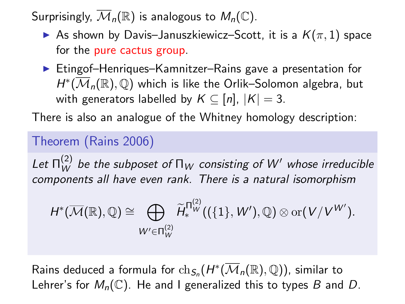Surprisingly,  $\overline{\mathcal{M}}_n(\mathbb{R})$  is analogous to  $M_n(\mathbb{C})$ .

- As shown by Davis–Januszkiewicz–Scott, it is a  $K(\pi, 1)$  space for the pure cactus group.
- ▶ Etingof–Henriques–Kamnitzer–Rains gave a presentation for  $H^*(\overline{\mathcal M}_n(\mathbb R),\mathbb Q)$  which is like the Orlik–Solomon algebra, but with generators labelled by  $K \subseteq [n]$ ,  $|K| = 3$ .

There is also an analogue of the Whitney homology description:

### Theorem (Rains 2006)

Let  $\Pi^{(2)}_W$  be the subposet of  $\Pi_W$  consisting of  $W'$  whose irreducible components all have even rank. There is a natural isomorphism

$$
H^*(\overline{\mathcal{M}}(\mathbb{R}),\mathbb{Q})\cong \bigoplus_{W'\in \Pi_W^{(2)}} \widetilde{H}^{\Pi_W^{(2)}}_w((\{1\},W'),\mathbb{Q})\otimes \text{or}(V/V^{W'}).
$$

Rains deduced a formula for  $\mathrm{ch}_{\mathcal{S}_n}(H^*(\overline{\mathcal{M}}_n(\mathbb{R}),\mathbb{Q}))$ , similar to Lehrer's for  $M_n(\mathbb{C})$ . He and I generalized this to types B and D.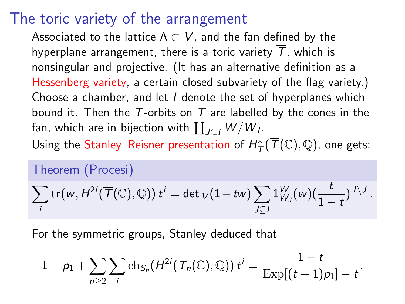### The toric variety of the arrangement

Associated to the lattice  $\Lambda \subset V$ , and the fan defined by the hyperplane arrangement, there is a toric variety  $\overline{T}$ , which is nonsingular and projective. (It has an alternative definition as a Hessenberg variety, a certain closed subvariety of the flag variety.) Choose a chamber, and let I denote the set of hyperplanes which bound it. Then the T-orbits on  $\overline{T}$  are labelled by the cones in the fan, which are in bijection with  $\coprod_{J\subseteq I}W/W_J.$ 

Using the Stanley–Reisner presentation of  $H^*_\mathcal{T}(\overline{\mathcal{T}}(\mathbb{C}),\mathbb{Q})$ , one gets:

#### Theorem (Procesi)

$$
\sum_i \operatorname{tr}(w, H^{2i}(\overline{T}(\mathbb{C}), \mathbb{Q})) t^i = \det_V(1 - t w) \sum_{J \subseteq I} 1^W_{W_J}(w) (\frac{t}{1-t})^{|I \setminus J|}.
$$

For the symmetric groups, Stanley deduced that

$$
1+p_1+\sum_{n\geq 2}\sum_i\mathrm{ch}_{S_n}(H^{2i}(\overline{\mathcal{T}_n}(\mathbb{C}),\mathbb{Q}))\ t^i=\frac{1-t}{\mathrm{Exp}[(t-1)p_1]-t}.
$$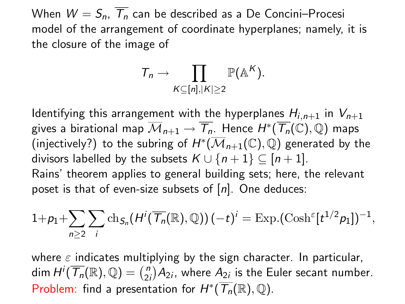When  $W = S_n$ ,  $\overline{T_n}$  can be described as a De Concini–Procesi model of the arrangement of coordinate hyperplanes; namely, it is the closure of the image of

$$
T_n \to \prod_{K \subseteq [n], |K| \geq 2} \mathbb{P}(\mathbb{A}^K).
$$

Identifying this arrangement with the hyperplanes  $H_{i,n+1}$  in  $V_{n+1}$ gives a birational map  $\overline{\mathcal M}_{n+1}\to\overline{\mathcal T_n}.$  Hence  $H^*(\overline{\mathcal T_n}(\mathbb C),\mathbb Q)$  maps (injectively?) to the subring of  $H^{*}(\overline{\mathcal{M}}_{n+1}(\mathbb{C}),\mathbb{Q})$  generated by the divisors labelled by the subsets  $K \cup \{n+1\} \subseteq [n+1]$ . Rains' theorem applies to general building sets; here, the relevant poset is that of even-size subsets of  $[n]$ . One deduces:

$$
1+p_1+\sum_{n\geq 2}\sum_i \text{ch}_{S_n}(H^i(\overline{\mathcal{T}_n}(\mathbb{R}),\mathbb{Q}))(-t)^i=\text{Exp.}(\text{Cosh}^{\varepsilon}[t^{1/2}p_1])^{-1},
$$

<span id="page-12-0"></span>where  $\varepsilon$  indicates multiplying by the sign character. In particular,  $\mathsf{dim}\, \mathsf{H}^i(\overline{\mathcal{T}_n}(\mathbb{R}),\mathbb{Q}) = \binom{n}{2}$  $\binom{n}{2i}A_{2i}$ , where  $A_{2i}$  is the Euler secant number. Problem: find a presentation for  $H^*(\overline{\mathcal{T}_n}(\mathbb{R}),\mathbb{Q})$ .